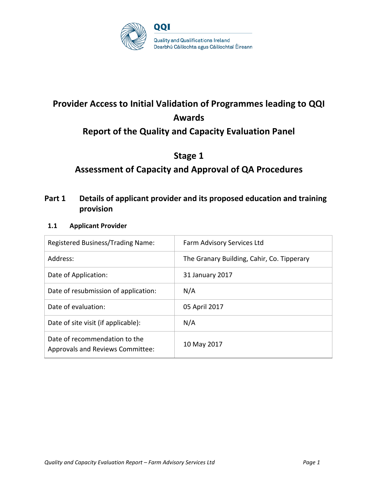

# **Provider Access to Initial Validation of Programmes leading to QQI Awards**

# **Report of the Quality and Capacity Evaluation Panel**

# **Stage 1**

# **Assessment of Capacity and Approval of QA Procedures**

# **Part 1 Details of applicant provider and its proposed education and training provision**

## **1.1 Applicant Provider**

| Registered Business/Trading Name:                                        | Farm Advisory Services Ltd                 |
|--------------------------------------------------------------------------|--------------------------------------------|
| Address:                                                                 | The Granary Building, Cahir, Co. Tipperary |
| Date of Application:                                                     | 31 January 2017                            |
| Date of resubmission of application:                                     | N/A                                        |
| Date of evaluation:                                                      | 05 April 2017                              |
| Date of site visit (if applicable):                                      | N/A                                        |
| Date of recommendation to the<br><b>Approvals and Reviews Committee:</b> | 10 May 2017                                |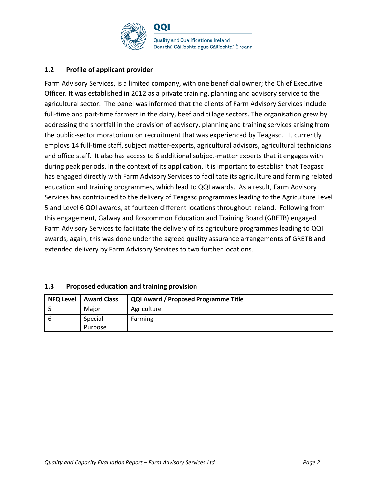

## **1.2 Profile of applicant provider**

Farm Advisory Services, is a limited company, with one beneficial owner; the Chief Executive Officer. It was established in 2012 as a private training, planning and advisory service to the agricultural sector. The panel was informed that the clients of Farm Advisory Services include full-time and part-time farmers in the dairy, beef and tillage sectors. The organisation grew by addressing the shortfall in the provision of advisory, planning and training services arising from the public-sector moratorium on recruitment that was experienced by Teagasc. It currently employs 14 full-time staff, subject matter-experts, agricultural advisors, agricultural technicians and office staff. It also has access to 6 additional subject-matter experts that it engages with during peak periods. In the context of its application, it is important to establish that Teagasc has engaged directly with Farm Advisory Services to facilitate its agriculture and farming related education and training programmes, which lead to QQI awards. As a result, Farm Advisory Services has contributed to the delivery of Teagasc programmes leading to the Agriculture Level 5 and Level 6 QQI awards, at fourteen different locations throughout Ireland. Following from this engagement, Galway and Roscommon Education and Training Board (GRETB) engaged Farm Advisory Services to facilitate the delivery of its agriculture programmes leading to QQI awards; again, this was done under the agreed quality assurance arrangements of GRETB and extended delivery by Farm Advisory Services to two further locations.

| 1.3 |  | Proposed education and training provision |  |
|-----|--|-------------------------------------------|--|
|     |  |                                           |  |

| <b>NFQ Level</b> | <b>Award Class</b> | <b>QQI Award / Proposed Programme Title</b> |
|------------------|--------------------|---------------------------------------------|
|                  | Major              | Agriculture                                 |
|                  | Special<br>Purpose | Farming                                     |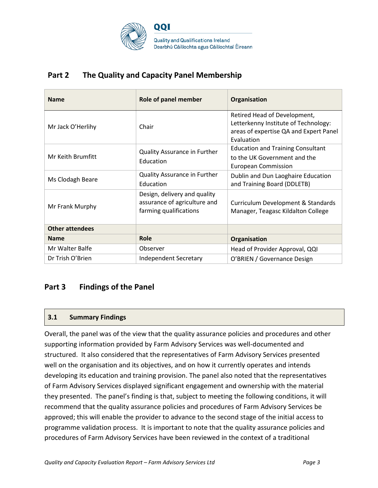

# **Part 2 The Quality and Capacity Panel Membership**

| <b>Name</b>            | Role of panel member                                                                   | Organisation                                                                                                                 |
|------------------------|----------------------------------------------------------------------------------------|------------------------------------------------------------------------------------------------------------------------------|
| Mr Jack O'Herlihy      | Chair                                                                                  | Retired Head of Development,<br>Letterkenny Institute of Technology:<br>areas of expertise QA and Expert Panel<br>Evaluation |
| Mr Keith Brumfitt      | Quality Assurance in Further<br>Education                                              | <b>Education and Training Consultant</b><br>to the UK Government and the<br><b>European Commission</b>                       |
| Ms Clodagh Beare       | Quality Assurance in Further<br>Education                                              | Dublin and Dun Laoghaire Education<br>and Training Board (DDLETB)                                                            |
| Mr Frank Murphy        | Design, delivery and quality<br>assurance of agriculture and<br>farming qualifications | Curriculum Development & Standards<br>Manager, Teagasc Kildalton College                                                     |
| <b>Other attendees</b> |                                                                                        |                                                                                                                              |
| <b>Name</b>            | Role                                                                                   | Organisation                                                                                                                 |
| Mr Walter Balfe        | Observer                                                                               | Head of Provider Approval, QQI                                                                                               |
| Dr Trish O'Brien       | <b>Independent Secretary</b>                                                           | O'BRIEN / Governance Design                                                                                                  |

# **Part 3 Findings of the Panel**

## **3.1 Summary Findings**

Overall, the panel was of the view that the quality assurance policies and procedures and other supporting information provided by Farm Advisory Services was well-documented and structured. It also considered that the representatives of Farm Advisory Services presented well on the organisation and its objectives, and on how it currently operates and intends developing its education and training provision. The panel also noted that the representatives of Farm Advisory Services displayed significant engagement and ownership with the material they presented. The panel's finding is that, subject to meeting the following conditions, it will recommend that the quality assurance policies and procedures of Farm Advisory Services be approved; this will enable the provider to advance to the second stage of the initial access to programme validation process. It is important to note that the quality assurance policies and procedures of Farm Advisory Services have been reviewed in the context of a traditional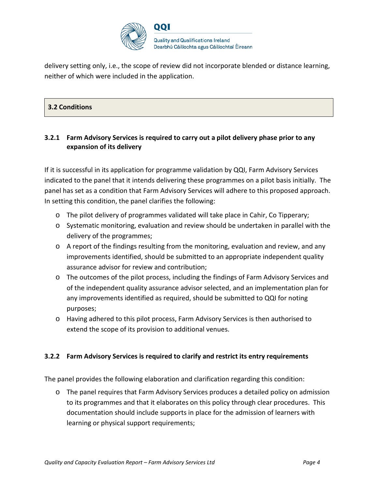

delivery setting only, i.e., the scope of review did not incorporate blended or distance learning, neither of which were included in the application.

## **3.2 Conditions**

## **3.2.1 Farm Advisory Services is required to carry out a pilot delivery phase prior to any expansion of its delivery**

If it is successful in its application for programme validation by QQI, Farm Advisory Services indicated to the panel that it intends delivering these programmes on a pilot basis initially. The panel has set as a condition that Farm Advisory Services will adhere to this proposed approach. In setting this condition, the panel clarifies the following:

- o The pilot delivery of programmes validated will take place in Cahir, Co Tipperary;
- $\circ$  Systematic monitoring, evaluation and review should be undertaken in parallel with the delivery of the programmes;
- o A report of the findings resulting from the monitoring, evaluation and review, and any improvements identified, should be submitted to an appropriate independent quality assurance advisor for review and contribution;
- o The outcomes of the pilot process, including the findings of Farm Advisory Services and of the independent quality assurance advisor selected, and an implementation plan for any improvements identified as required, should be submitted to QQI for noting purposes;
- o Having adhered to this pilot process, Farm Advisory Services is then authorised to extend the scope of its provision to additional venues.

## **3.2.2 Farm Advisory Services is required to clarify and restrict its entry requirements**

The panel provides the following elaboration and clarification regarding this condition:

o The panel requires that Farm Advisory Services produces a detailed policy on admission to its programmes and that it elaborates on this policy through clear procedures. This documentation should include supports in place for the admission of learners with learning or physical support requirements;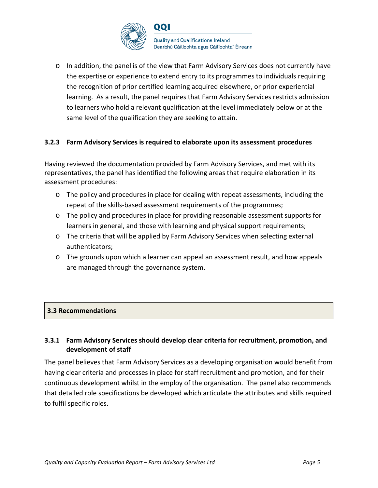

 $\circ$  In addition, the panel is of the view that Farm Advisory Services does not currently have the expertise or experience to extend entry to its programmes to individuals requiring the recognition of prior certified learning acquired elsewhere, or prior experiential learning. As a result, the panel requires that Farm Advisory Services restricts admission to learners who hold a relevant qualification at the level immediately below or at the same level of the qualification they are seeking to attain.

## **3.2.3 Farm Advisory Services is required to elaborate upon its assessment procedures**

Having reviewed the documentation provided by Farm Advisory Services, and met with its representatives, the panel has identified the following areas that require elaboration in its assessment procedures:

- o The policy and procedures in place for dealing with repeat assessments, including the repeat of the skills-based assessment requirements of the programmes;
- o The policy and procedures in place for providing reasonable assessment supports for learners in general, and those with learning and physical support requirements;
- o The criteria that will be applied by Farm Advisory Services when selecting external authenticators;
- o The grounds upon which a learner can appeal an assessment result, and how appeals are managed through the governance system.

## **3.3 Recommendations**

## **3.3.1 Farm Advisory Services should develop clear criteria for recruitment, promotion, and development of staff**

The panel believes that Farm Advisory Services as a developing organisation would benefit from having clear criteria and processes in place for staff recruitment and promotion, and for their continuous development whilst in the employ of the organisation. The panel also recommends that detailed role specifications be developed which articulate the attributes and skills required to fulfil specific roles.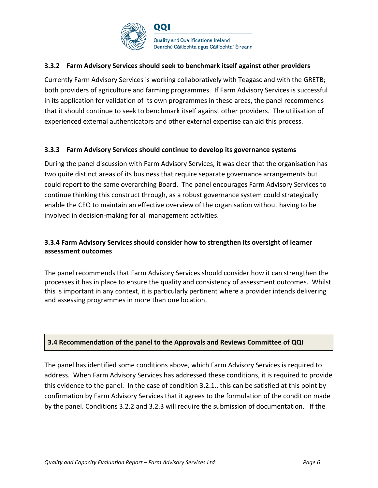

## **3.3.2 Farm Advisory Services should seek to benchmark itself against other providers**

Currently Farm Advisory Services is working collaboratively with Teagasc and with the GRETB; both providers of agriculture and farming programmes. If Farm Advisory Services is successful in its application for validation of its own programmes in these areas, the panel recommends that it should continue to seek to benchmark itself against other providers. The utilisation of experienced external authenticators and other external expertise can aid this process.

#### **3.3.3 Farm Advisory Services should continue to develop its governance systems**

During the panel discussion with Farm Advisory Services, it was clear that the organisation has two quite distinct areas of its business that require separate governance arrangements but could report to the same overarching Board. The panel encourages Farm Advisory Services to continue thinking this construct through, as a robust governance system could strategically enable the CEO to maintain an effective overview of the organisation without having to be involved in decision-making for all management activities.

## **3.3.4 Farm Advisory Services should consider how to strengthen its oversight of learner assessment outcomes**

The panel recommends that Farm Advisory Services should consider how it can strengthen the processes it has in place to ensure the quality and consistency of assessment outcomes. Whilst this is important in any context, it is particularly pertinent where a provider intends delivering and assessing programmes in more than one location.

## **3.4 Recommendation of the panel to the Approvals and Reviews Committee of QQI**

The panel has identified some conditions above, which Farm Advisory Services is required to address. When Farm Advisory Services has addressed these conditions, it is required to provide this evidence to the panel. In the case of condition 3.2.1., this can be satisfied at this point by confirmation by Farm Advisory Services that it agrees to the formulation of the condition made by the panel. Conditions 3.2.2 and 3.2.3 will require the submission of documentation. If the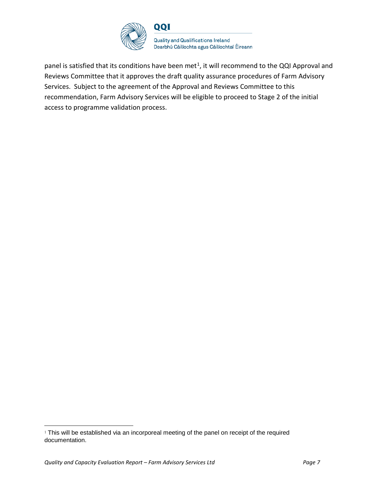

panel is satisfied that its conditions have been met<sup>[1](#page-6-0)</sup>, it will recommend to the QQI Approval and Reviews Committee that it approves the draft quality assurance procedures of Farm Advisory Services. Subject to the agreement of the Approval and Reviews Committee to this recommendation, Farm Advisory Services will be eligible to proceed to Stage 2 of the initial access to programme validation process.

<span id="page-6-0"></span><sup>&</sup>lt;sup>1</sup> This will be established via an incorporeal meeting of the panel on receipt of the required documentation.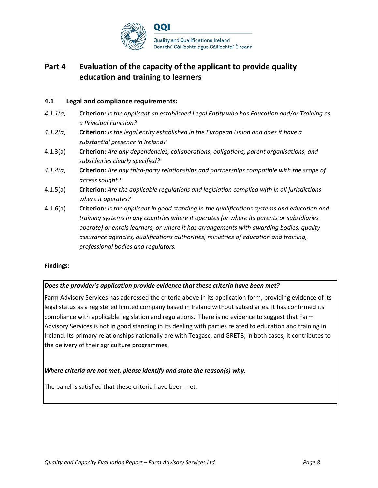

# **Part 4 Evaluation of the capacity of the applicant to provide quality education and training to learners**

#### **4.1 Legal and compliance requirements:**

- *4.1.1(a)* **Criterion***: Is the applicant an established Legal Entity who has Education and/or Training as a Principal Function?*
- *4.1.2(a)* **Criterion***: Is the legal entity established in the European Union and does it have a substantial presence in Ireland?*
- 4.1.3(a) **Criterion:** *Are any dependencies, collaborations, obligations, parent organisations, and subsidiaries clearly specified?*
- *4.1.4(a)* **Criterion***: Are any third-party relationships and partnerships compatible with the scope of access sought?*
- 4.1.5(a) **Criterion:** *Are the applicable regulations and legislation complied with in all jurisdictions where it operates?*
- 4.1.6(a) **Criterion:** *Is the applicant in good standing in the qualifications systems and education and training systems in any countries where it operates (or where its parents or subsidiaries operate) or enrols learners, or where it has arrangements with awarding bodies, quality assurance agencies, qualifications authorities, ministries of education and training, professional bodies and regulators.*

#### **Findings:**

#### *Does the provider's application provide evidence that these criteria have been met?*

Farm Advisory Services has addressed the criteria above in its application form, providing evidence of its legal status as a registered limited company based in Ireland without subsidiaries. It has confirmed its compliance with applicable legislation and regulations. There is no evidence to suggest that Farm Advisory Services is not in good standing in its dealing with parties related to education and training in Ireland. Its primary relationships nationally are with Teagasc, and GRETB; in both cases, it contributes to the delivery of their agriculture programmes.

#### *Where criteria are not met, please identify and state the reason(s) why.*

The panel is satisfied that these criteria have been met.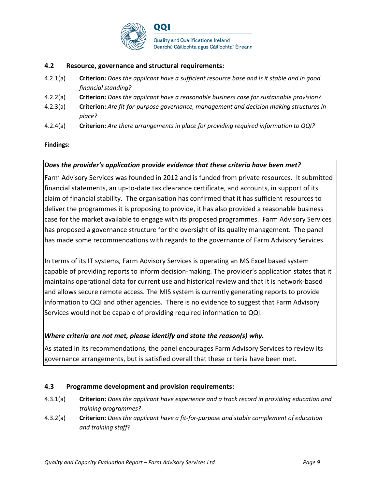

#### **4.2 Resource, governance and structural requirements:**

- 4.2.1(a) **Criterion:** *Does the applicant have a sufficient resource base and is it stable and in good financial standing?*
- 4.2.2(a) **Criterion:** *Does the applicant have a reasonable business case for sustainable provision?*
- 4.2.3(a) **Criterion:** *Are fit-for-purpose governance, management and decision making structures in place?*
- 4.2.4(a) **Criterion:** *Are there arrangements in place for providing required information to QQI?*

#### **Findings:**

#### *Does the provider's application provide evidence that these criteria have been met?*

Farm Advisory Services was founded in 2012 and is funded from private resources. It submitted financial statements, an up-to-date tax clearance certificate, and accounts, in support of its claim of financial stability. The organisation has confirmed that it has sufficient resources to deliver the programmes it is proposing to provide, it has also provided a reasonable business case for the market available to engage with its proposed programmes. Farm Advisory Services has proposed a governance structure for the oversight of its quality management. The panel has made some recommendations with regards to the governance of Farm Advisory Services.

In terms of its IT systems, Farm Advisory Services is operating an MS Excel based system capable of providing reports to inform decision-making. The provider's application states that it maintains operational data for current use and historical review and that it is network-based and allows secure remote access. The MIS system is currently generating reports to provide information to QQI and other agencies. There is no evidence to suggest that Farm Advisory Services would not be capable of providing required information to QQI.

## *Where criteria are not met, please identify and state the reason(s) why.*

As stated in its recommendations, the panel encourages Farm Advisory Services to review its governance arrangements, but is satisfied overall that these criteria have been met.

#### **4.3 Programme development and provision requirements:**

- 4.3.1(a) **Criterion:** *Does the applicant have experience and a track record in providing education and training programmes?*
- 4.3.2(a) **Criterion:** *Does the applicant have a fit-for-purpose and stable complement of education and training staff?*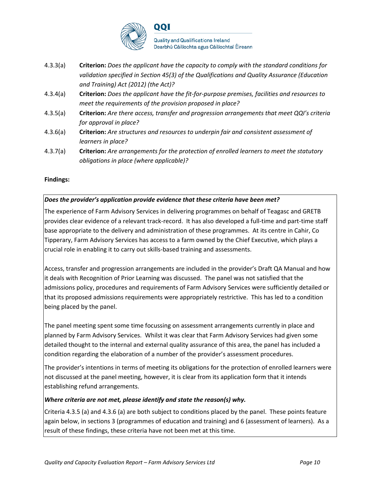

- 4.3.3(a) **Criterion:** *Does the applicant have the capacity to comply with the standard conditions for validation specified in Section 45(3) of the Qualifications and Quality Assurance (Education and Training) Act (2012) (the Act)?*
- 4.3.4(a) **Criterion:** *Does the applicant have the fit-for-purpose premises, facilities and resources to meet the requirements of the provision proposed in place?*
- 4.3.5(a) **Criterion:** *Are there access, transfer and progression arrangements that meet QQI's criteria for approval in place?*
- 4.3.6(a) **Criterion:** *Are structures and resources to underpin fair and consistent assessment of learners in place?*
- 4.3.7(a) **Criterion:** *Are arrangements for the protection of enrolled learners to meet the statutory obligations in place (where applicable)?*

## **Findings:**

#### *Does the provider's application provide evidence that these criteria have been met?*

The experience of Farm Advisory Services in delivering programmes on behalf of Teagasc and GRETB provides clear evidence of a relevant track-record. It has also developed a full-time and part-time staff base appropriate to the delivery and administration of these programmes. At its centre in Cahir, Co Tipperary, Farm Advisory Services has access to a farm owned by the Chief Executive, which plays a crucial role in enabling it to carry out skills-based training and assessments.

Access, transfer and progression arrangements are included in the provider's Draft QA Manual and how it deals with Recognition of Prior Learning was discussed. The panel was not satisfied that the admissions policy, procedures and requirements of Farm Advisory Services were sufficiently detailed or that its proposed admissions requirements were appropriately restrictive. This has led to a condition being placed by the panel.

The panel meeting spent some time focussing on assessment arrangements currently in place and planned by Farm Advisory Services. Whilst it was clear that Farm Advisory Services had given some detailed thought to the internal and external quality assurance of this area, the panel has included a condition regarding the elaboration of a number of the provider's assessment procedures.

The provider's intentions in terms of meeting its obligations for the protection of enrolled learners were not discussed at the panel meeting, however, it is clear from its application form that it intends establishing refund arrangements.

#### *Where criteria are not met, please identify and state the reason(s) why.*

Criteria 4.3.5 (a) and 4.3.6 (a) are both subject to conditions placed by the panel. These points feature again below, in sections 3 (programmes of education and training) and 6 (assessment of learners). As a result of these findings, these criteria have not been met at this time.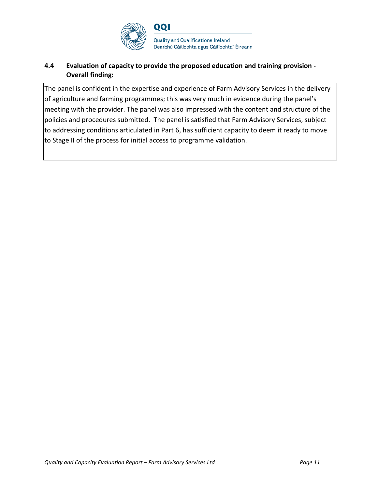

## **4.4 Evaluation of capacity to provide the proposed education and training provision - Overall finding:**

The panel is confident in the expertise and experience of Farm Advisory Services in the delivery of agriculture and farming programmes; this was very much in evidence during the panel's meeting with the provider. The panel was also impressed with the content and structure of the policies and procedures submitted. The panel is satisfied that Farm Advisory Services, subject to addressing conditions articulated in Part 6, has sufficient capacity to deem it ready to move to Stage II of the process for initial access to programme validation.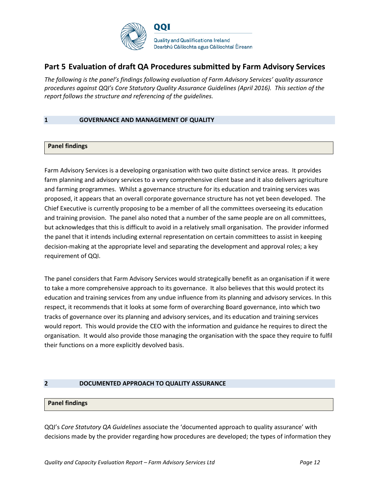

## **Part 5 Evaluation of draft QA Procedures submitted by Farm Advisory Services**

*The following is the panel's findings following evaluation of Farm Advisory Services' quality assurance procedures against QQI's Core Statutory Quality Assurance Guidelines (April 2016). This section of the report follows the structure and referencing of the guidelines.* 

#### **1 GOVERNANCE AND MANAGEMENT OF QUALITY**

#### **Panel findings**

Farm Advisory Services is a developing organisation with two quite distinct service areas. It provides farm planning and advisory services to a very comprehensive client base and it also delivers agriculture and farming programmes. Whilst a governance structure for its education and training services was proposed, it appears that an overall corporate governance structure has not yet been developed. The Chief Executive is currently proposing to be a member of all the committees overseeing its education and training provision. The panel also noted that a number of the same people are on all committees, but acknowledges that this is difficult to avoid in a relatively small organisation. The provider informed the panel that it intends including external representation on certain committees to assist in keeping decision-making at the appropriate level and separating the development and approval roles; a key requirement of QQI.

The panel considers that Farm Advisory Services would strategically benefit as an organisation if it were to take a more comprehensive approach to its governance. It also believes that this would protect its education and training services from any undue influence from its planning and advisory services. In this respect, it recommends that it looks at some form of overarching Board governance, into which two tracks of governance over its planning and advisory services, and its education and training services would report. This would provide the CEO with the information and guidance he requires to direct the organisation. It would also provide those managing the organisation with the space they require to fulfil their functions on a more explicitly devolved basis.

#### **2 DOCUMENTED APPROACH TO QUALITY ASSURANCE**

#### **Panel findings**

QQI's *Core Statutory QA Guidelines* associate the 'documented approach to quality assurance' with decisions made by the provider regarding how procedures are developed; the types of information they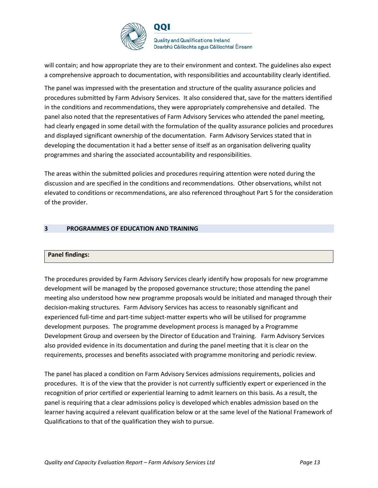

**Quality and Qualifications Ireland** Dearbhú Cáilíochta agus Cáilíochtaí Éireann

will contain; and how appropriate they are to their environment and context. The guidelines also expect a comprehensive approach to documentation, with responsibilities and accountability clearly identified.

The panel was impressed with the presentation and structure of the quality assurance policies and procedures submitted by Farm Advisory Services. It also considered that, save for the matters identified in the conditions and recommendations, they were appropriately comprehensive and detailed. The panel also noted that the representatives of Farm Advisory Services who attended the panel meeting, had clearly engaged in some detail with the formulation of the quality assurance policies and procedures and displayed significant ownership of the documentation. Farm Advisory Services stated that in developing the documentation it had a better sense of itself as an organisation delivering quality programmes and sharing the associated accountability and responsibilities.

The areas within the submitted policies and procedures requiring attention were noted during the discussion and are specified in the conditions and recommendations. Other observations, whilst not elevated to conditions or recommendations, are also referenced throughout Part 5 for the consideration of the provider.

#### **3 PROGRAMMES OF EDUCATION AND TRAINING**

#### **Panel findings:**

The procedures provided by Farm Advisory Services clearly identify how proposals for new programme development will be managed by the proposed governance structure; those attending the panel meeting also understood how new programme proposals would be initiated and managed through their decision-making structures. Farm Advisory Services has access to reasonably significant and experienced full-time and part-time subject-matter experts who will be utilised for programme development purposes. The programme development process is managed by a Programme Development Group and overseen by the Director of Education and Training. Farm Advisory Services also provided evidence in its documentation and during the panel meeting that it is clear on the requirements, processes and benefits associated with programme monitoring and periodic review.

The panel has placed a condition on Farm Advisory Services admissions requirements, policies and procedures. It is of the view that the provider is not currently sufficiently expert or experienced in the recognition of prior certified or experiential learning to admit learners on this basis. As a result, the panel is requiring that a clear admissions policy is developed which enables admission based on the learner having acquired a relevant qualification below or at the same level of the National Framework of Qualifications to that of the qualification they wish to pursue.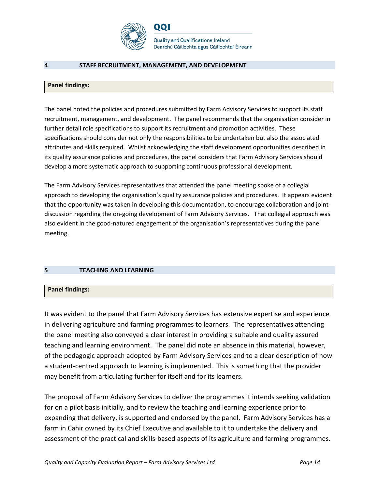

**Quality and Qualifications Ireland** Dearbhú Cáilíochta agus Cáilíochtaí Éireann

#### **4 STAFF RECRUITMENT, MANAGEMENT, AND DEVELOPMENT**

#### **Panel findings:**

The panel noted the policies and procedures submitted by Farm Advisory Services to support its staff recruitment, management, and development. The panel recommends that the organisation consider in further detail role specifications to support its recruitment and promotion activities. These specifications should consider not only the responsibilities to be undertaken but also the associated attributes and skills required. Whilst acknowledging the staff development opportunities described in its quality assurance policies and procedures, the panel considers that Farm Advisory Services should develop a more systematic approach to supporting continuous professional development.

The Farm Advisory Services representatives that attended the panel meeting spoke of a collegial approach to developing the organisation's quality assurance policies and procedures. It appears evident that the opportunity was taken in developing this documentation, to encourage collaboration and jointdiscussion regarding the on-going development of Farm Advisory Services. That collegial approach was also evident in the good-natured engagement of the organisation's representatives during the panel meeting.

#### **5 TEACHING AND LEARNING**

#### **Panel findings:**

It was evident to the panel that Farm Advisory Services has extensive expertise and experience in delivering agriculture and farming programmes to learners. The representatives attending the panel meeting also conveyed a clear interest in providing a suitable and quality assured teaching and learning environment. The panel did note an absence in this material, however, of the pedagogic approach adopted by Farm Advisory Services and to a clear description of how a student-centred approach to learning is implemented. This is something that the provider may benefit from articulating further for itself and for its learners.

The proposal of Farm Advisory Services to deliver the programmes it intends seeking validation for on a pilot basis initially, and to review the teaching and learning experience prior to expanding that delivery, is supported and endorsed by the panel. Farm Advisory Services has a farm in Cahir owned by its Chief Executive and available to it to undertake the delivery and assessment of the practical and skills-based aspects of its agriculture and farming programmes.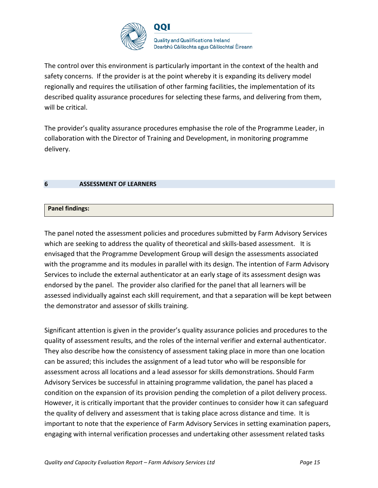

The control over this environment is particularly important in the context of the health and safety concerns. If the provider is at the point whereby it is expanding its delivery model regionally and requires the utilisation of other farming facilities, the implementation of its described quality assurance procedures for selecting these farms, and delivering from them, will be critical.

The provider's quality assurance procedures emphasise the role of the Programme Leader, in collaboration with the Director of Training and Development, in monitoring programme delivery.

#### **6 ASSESSMENT OF LEARNERS**

#### **Panel findings:**

The panel noted the assessment policies and procedures submitted by Farm Advisory Services which are seeking to address the quality of theoretical and skills-based assessment. It is envisaged that the Programme Development Group will design the assessments associated with the programme and its modules in parallel with its design. The intention of Farm Advisory Services to include the external authenticator at an early stage of its assessment design was endorsed by the panel. The provider also clarified for the panel that all learners will be assessed individually against each skill requirement, and that a separation will be kept between the demonstrator and assessor of skills training.

Significant attention is given in the provider's quality assurance policies and procedures to the quality of assessment results, and the roles of the internal verifier and external authenticator. They also describe how the consistency of assessment taking place in more than one location can be assured; this includes the assignment of a lead tutor who will be responsible for assessment across all locations and a lead assessor for skills demonstrations. Should Farm Advisory Services be successful in attaining programme validation, the panel has placed a condition on the expansion of its provision pending the completion of a pilot delivery process. However, it is critically important that the provider continues to consider how it can safeguard the quality of delivery and assessment that is taking place across distance and time. It is important to note that the experience of Farm Advisory Services in setting examination papers, engaging with internal verification processes and undertaking other assessment related tasks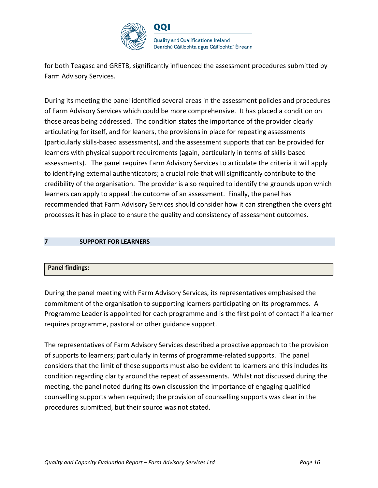

for both Teagasc and GRETB, significantly influenced the assessment procedures submitted by Farm Advisory Services.

During its meeting the panel identified several areas in the assessment policies and procedures of Farm Advisory Services which could be more comprehensive. It has placed a condition on those areas being addressed. The condition states the importance of the provider clearly articulating for itself, and for leaners, the provisions in place for repeating assessments (particularly skills-based assessments), and the assessment supports that can be provided for learners with physical support requirements (again, particularly in terms of skills-based assessments). The panel requires Farm Advisory Services to articulate the criteria it will apply to identifying external authenticators; a crucial role that will significantly contribute to the credibility of the organisation. The provider is also required to identify the grounds upon which learners can apply to appeal the outcome of an assessment. Finally, the panel has recommended that Farm Advisory Services should consider how it can strengthen the oversight processes it has in place to ensure the quality and consistency of assessment outcomes.

#### **7 SUPPORT FOR LEARNERS**

#### **Panel findings:**

During the panel meeting with Farm Advisory Services, its representatives emphasised the commitment of the organisation to supporting learners participating on its programmes. A Programme Leader is appointed for each programme and is the first point of contact if a learner requires programme, pastoral or other guidance support.

The representatives of Farm Advisory Services described a proactive approach to the provision of supports to learners; particularly in terms of programme-related supports. The panel considers that the limit of these supports must also be evident to learners and this includes its condition regarding clarity around the repeat of assessments. Whilst not discussed during the meeting, the panel noted during its own discussion the importance of engaging qualified counselling supports when required; the provision of counselling supports was clear in the procedures submitted, but their source was not stated.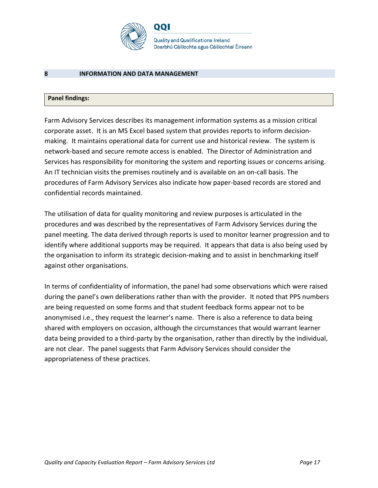

#### **8 INFORMATION AND DATA MANAGEMENT**

## **Panel findings:**

Farm Advisory Services describes its management information systems as a mission critical corporate asset. It is an MS Excel based system that provides reports to inform decisionmaking. It maintains operational data for current use and historical review. The system is network-based and secure remote access is enabled. The Director of Administration and Services has responsibility for monitoring the system and reporting issues or concerns arising. An IT technician visits the premises routinely and is available on an on-call basis. The procedures of Farm Advisory Services also indicate how paper-based records are stored and confidential records maintained.

The utilisation of data for quality monitoring and review purposes is articulated in the procedures and was described by the representatives of Farm Advisory Services during the panel meeting. The data derived through reports is used to monitor learner progression and to identify where additional supports may be required. It appears that data is also being used by the organisation to inform its strategic decision-making and to assist in benchmarking itself against other organisations.

In terms of confidentiality of information, the panel had some observations which were raised during the panel's own deliberations rather than with the provider. It noted that PPS numbers are being requested on some forms and that student feedback forms appear not to be anonymised i.e., they request the learner's name. There is also a reference to data being shared with employers on occasion, although the circumstances that would warrant learner data being provided to a third-party by the organisation, rather than directly by the individual, are not clear. The panel suggests that Farm Advisory Services should consider the appropriateness of these practices.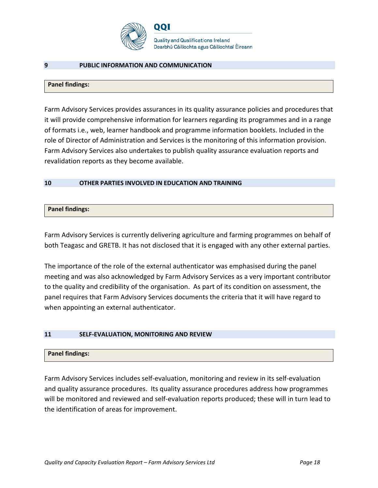

**Quality and Qualifications Ireland** Dearbhú Cáilíochta agus Cáilíochtaí Éireann

#### **9 PUBLIC INFORMATION AND COMMUNICATION**

#### **Panel findings:**

Farm Advisory Services provides assurances in its quality assurance policies and procedures that it will provide comprehensive information for learners regarding its programmes and in a range of formats i.e., web, learner handbook and programme information booklets. Included in the role of Director of Administration and Services is the monitoring of this information provision. Farm Advisory Services also undertakes to publish quality assurance evaluation reports and revalidation reports as they become available.

#### **10 OTHER PARTIES INVOLVED IN EDUCATION AND TRAINING**

#### **Panel findings:**

Farm Advisory Services is currently delivering agriculture and farming programmes on behalf of both Teagasc and GRETB. It has not disclosed that it is engaged with any other external parties.

The importance of the role of the external authenticator was emphasised during the panel meeting and was also acknowledged by Farm Advisory Services as a very important contributor to the quality and credibility of the organisation. As part of its condition on assessment, the panel requires that Farm Advisory Services documents the criteria that it will have regard to when appointing an external authenticator.

#### **11 SELF-EVALUATION, MONITORING AND REVIEW**

# **Panel findings:**

Farm Advisory Services includes self-evaluation, monitoring and review in its self-evaluation and quality assurance procedures. Its quality assurance procedures address how programmes will be monitored and reviewed and self-evaluation reports produced; these will in turn lead to the identification of areas for improvement.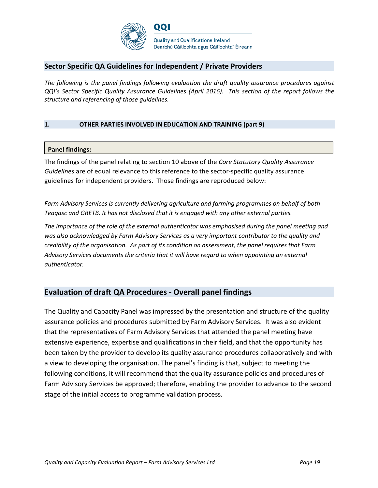

## **Sector Specific QA Guidelines for Independent / Private Providers**

*The following is the panel findings following evaluation the draft quality assurance procedures against QQI's Sector Specific Quality Assurance Guidelines (April 2016). This section of the report follows the structure and referencing of those guidelines.* 

#### **1. OTHER PARTIES INVOLVED IN EDUCATION AND TRAINING (part 9)**

#### **Panel findings:**

The findings of the panel relating to section 10 above of the *Core Statutory Quality Assurance Guidelines* are of equal relevance to this reference to the sector-specific quality assurance guidelines for independent providers. Those findings are reproduced below:

*Farm Advisory Services is currently delivering agriculture and farming programmes on behalf of both Teagasc and GRETB. It has not disclosed that it is engaged with any other external parties.* 

*The importance of the role of the external authenticator was emphasised during the panel meeting and was also acknowledged by Farm Advisory Services as a very important contributor to the quality and credibility of the organisation. As part of its condition on assessment, the panel requires that Farm Advisory Services documents the criteria that it will have regard to when appointing an external authenticator.* 

## **Evaluation of draft QA Procedures - Overall panel findings**

The Quality and Capacity Panel was impressed by the presentation and structure of the quality assurance policies and procedures submitted by Farm Advisory Services. It was also evident that the representatives of Farm Advisory Services that attended the panel meeting have extensive experience, expertise and qualifications in their field, and that the opportunity has been taken by the provider to develop its quality assurance procedures collaboratively and with a view to developing the organisation. The panel's finding is that, subject to meeting the following conditions, it will recommend that the quality assurance policies and procedures of Farm Advisory Services be approved; therefore, enabling the provider to advance to the second stage of the initial access to programme validation process.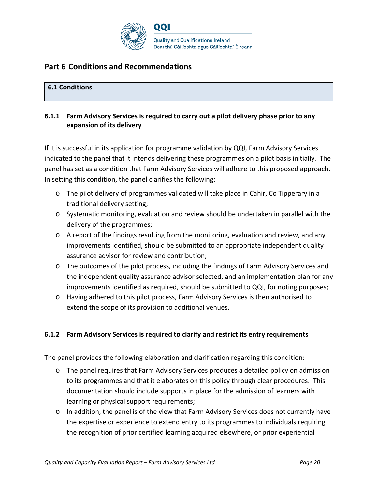

# **Part 6 Conditions and Recommendations**

## **6.1 Conditions**

## **6.1.1 Farm Advisory Services is required to carry out a pilot delivery phase prior to any expansion of its delivery**

If it is successful in its application for programme validation by QQI, Farm Advisory Services indicated to the panel that it intends delivering these programmes on a pilot basis initially. The panel has set as a condition that Farm Advisory Services will adhere to this proposed approach. In setting this condition, the panel clarifies the following:

- o The pilot delivery of programmes validated will take place in Cahir, Co Tipperary in a traditional delivery setting;
- o Systematic monitoring, evaluation and review should be undertaken in parallel with the delivery of the programmes;
- $\circ$  A report of the findings resulting from the monitoring, evaluation and review, and any improvements identified, should be submitted to an appropriate independent quality assurance advisor for review and contribution;
- o The outcomes of the pilot process, including the findings of Farm Advisory Services and the independent quality assurance advisor selected, and an implementation plan for any improvements identified as required, should be submitted to QQI, for noting purposes;
- o Having adhered to this pilot process, Farm Advisory Services is then authorised to extend the scope of its provision to additional venues.

## **6.1.2 Farm Advisory Services is required to clarify and restrict its entry requirements**

The panel provides the following elaboration and clarification regarding this condition:

- o The panel requires that Farm Advisory Services produces a detailed policy on admission to its programmes and that it elaborates on this policy through clear procedures. This documentation should include supports in place for the admission of learners with learning or physical support requirements;
- $\circ$  In addition, the panel is of the view that Farm Advisory Services does not currently have the expertise or experience to extend entry to its programmes to individuals requiring the recognition of prior certified learning acquired elsewhere, or prior experiential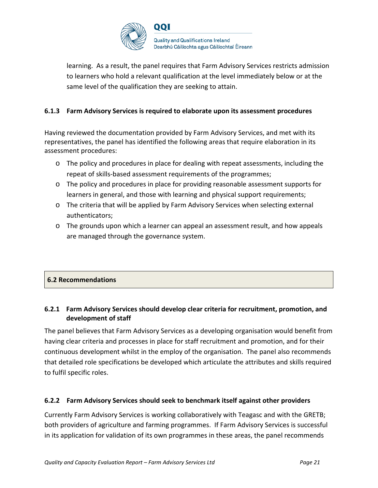

learning. As a result, the panel requires that Farm Advisory Services restricts admission to learners who hold a relevant qualification at the level immediately below or at the same level of the qualification they are seeking to attain.

## **6.1.3 Farm Advisory Services is required to elaborate upon its assessment procedures**

Having reviewed the documentation provided by Farm Advisory Services, and met with its representatives, the panel has identified the following areas that require elaboration in its assessment procedures:

- o The policy and procedures in place for dealing with repeat assessments, including the repeat of skills-based assessment requirements of the programmes;
- o The policy and procedures in place for providing reasonable assessment supports for learners in general, and those with learning and physical support requirements;
- o The criteria that will be applied by Farm Advisory Services when selecting external authenticators;
- o The grounds upon which a learner can appeal an assessment result, and how appeals are managed through the governance system.

## **6.2 Recommendations**

## **6.2.1 Farm Advisory Services should develop clear criteria for recruitment, promotion, and development of staff**

The panel believes that Farm Advisory Services as a developing organisation would benefit from having clear criteria and processes in place for staff recruitment and promotion, and for their continuous development whilst in the employ of the organisation. The panel also recommends that detailed role specifications be developed which articulate the attributes and skills required to fulfil specific roles.

## **6.2.2 Farm Advisory Services should seek to benchmark itself against other providers**

Currently Farm Advisory Services is working collaboratively with Teagasc and with the GRETB; both providers of agriculture and farming programmes. If Farm Advisory Services is successful in its application for validation of its own programmes in these areas, the panel recommends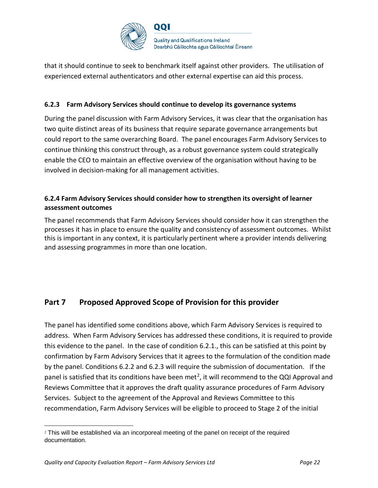

that it should continue to seek to benchmark itself against other providers. The utilisation of experienced external authenticators and other external expertise can aid this process.

## **6.2.3 Farm Advisory Services should continue to develop its governance systems**

During the panel discussion with Farm Advisory Services, it was clear that the organisation has two quite distinct areas of its business that require separate governance arrangements but could report to the same overarching Board. The panel encourages Farm Advisory Services to continue thinking this construct through, as a robust governance system could strategically enable the CEO to maintain an effective overview of the organisation without having to be involved in decision-making for all management activities.

## **6.2.4 Farm Advisory Services should consider how to strengthen its oversight of learner assessment outcomes**

The panel recommends that Farm Advisory Services should consider how it can strengthen the processes it has in place to ensure the quality and consistency of assessment outcomes. Whilst this is important in any context, it is particularly pertinent where a provider intends delivering and assessing programmes in more than one location.

# **Part 7 Proposed Approved Scope of Provision for this provider**

The panel has identified some conditions above, which Farm Advisory Services is required to address. When Farm Advisory Services has addressed these conditions, it is required to provide this evidence to the panel. In the case of condition 6.2.1., this can be satisfied at this point by confirmation by Farm Advisory Services that it agrees to the formulation of the condition made by the panel. Conditions 6.2.2 and 6.2.3 will require the submission of documentation. If the panel is satisfied that its conditions have been met<sup>[2](#page-21-0)</sup>, it will recommend to the QQI Approval and Reviews Committee that it approves the draft quality assurance procedures of Farm Advisory Services. Subject to the agreement of the Approval and Reviews Committee to this recommendation, Farm Advisory Services will be eligible to proceed to Stage 2 of the initial

<span id="page-21-0"></span><sup>&</sup>lt;sup>2</sup> This will be established via an incorporeal meeting of the panel on receipt of the required documentation.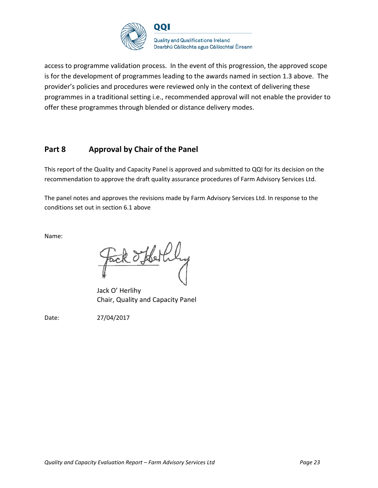

access to programme validation process. In the event of this progression, the approved scope is for the development of programmes leading to the awards named in section 1.3 above. The provider's policies and procedures were reviewed only in the context of delivering these programmes in a traditional setting i.e., recommended approval will not enable the provider to offer these programmes through blended or distance delivery modes.

# **Part 8 Approval by Chair of the Panel**

This report of the Quality and Capacity Panel is approved and submitted to QQI for its decision on the recommendation to approve the draft quality assurance procedures of Farm Advisory Services Ltd.

The panel notes and approves the revisions made by Farm Advisory Services Ltd. In response to the conditions set out in section 6.1 above

Name:

Fack offerful

Jack O' Herlihy Chair, Quality and Capacity Panel

Date: 27/04/2017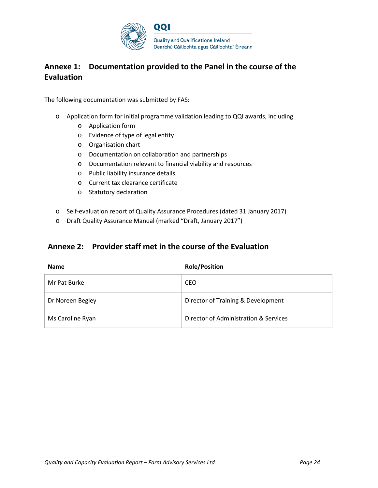

# **Annexe 1: Documentation provided to the Panel in the course of the Evaluation**

The following documentation was submitted by FAS:

- o Application form for initial programme validation leading to QQI awards, including
	- o Application form
	- o Evidence of type of legal entity
	- o Organisation chart
	- o Documentation on collaboration and partnerships
	- o Documentation relevant to financial viability and resources
	- o Public liability insurance details
	- o Current tax clearance certificate
	- o Statutory declaration
- o Self-evaluation report of Quality Assurance Procedures (dated 31 January 2017)
- o Draft Quality Assurance Manual (marked "Draft, January 2017")

## **Annexe 2: Provider staff met in the course of the Evaluation**

| <b>Name</b>      | <b>Role/Position</b>                  |
|------------------|---------------------------------------|
| Mr Pat Burke     | CEO                                   |
| Dr Noreen Begley | Director of Training & Development    |
| Ms Caroline Ryan | Director of Administration & Services |